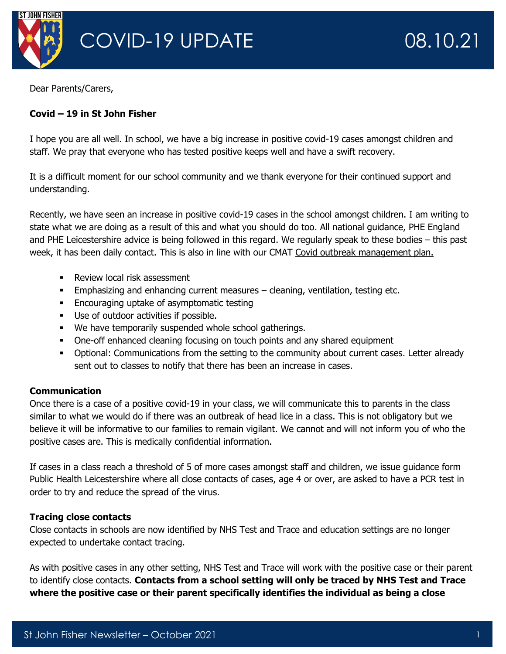

Dear Parents/Carers,

## **Covid – 19 in St John Fisher**

I hope you are all well. In school, we have a big increase in positive covid-19 cases amongst children and staff. We pray that everyone who has tested positive keeps well and have a swift recovery.

It is a difficult moment for our school community and we thank everyone for their continued support and understanding.

Recently, we have seen an increase in positive covid-19 cases in the school amongst children. I am writing to state what we are doing as a result of this and what you should do too. All national guidance, PHE England and PHE Leicestershire advice is being followed in this regard. We regularly speak to these bodies – this past week, it has been daily contact. This is also in line with our CMAT [Covid outbreak management plan.](https://www.stjohnfisher-wigston.leics.sch.uk/our-school/covid-19-response)

- **EXEC** Review local risk assessment
- **Emphasizing and enhancing current measures cleaning, ventilation, testing etc.**
- **Encouraging uptake of asymptomatic testing**
- Use of outdoor activities if possible.
- We have temporarily suspended whole school gatherings.
- **One-off enhanced cleaning focusing on touch points and any shared equipment**
- Optional: Communications from the setting to the community about current cases. Letter already sent out to classes to notify that there has been an increase in cases.

### **Communication**

Once there is a case of a positive covid-19 in your class, we will communicate this to parents in the class similar to what we would do if there was an outbreak of head lice in a class. This is not obligatory but we believe it will be informative to our families to remain vigilant. We cannot and will not inform you of who the positive cases are. This is medically confidential information.

If cases in a class reach a threshold of 5 of more cases amongst staff and children, we issue guidance form Public Health Leicestershire where all close contacts of cases, age 4 or over, are asked to have a PCR test in order to try and reduce the spread of the virus.

### **Tracing close contacts**

Close contacts in schools are now identified by NHS Test and Trace and education settings are no longer expected to undertake contact tracing.

As with positive cases in any other setting, NHS Test and Trace will work with the positive case or their parent to identify close contacts. **Contacts from a school setting will only be traced by NHS Test and Trace where the positive case or their parent specifically identifies the individual as being a close**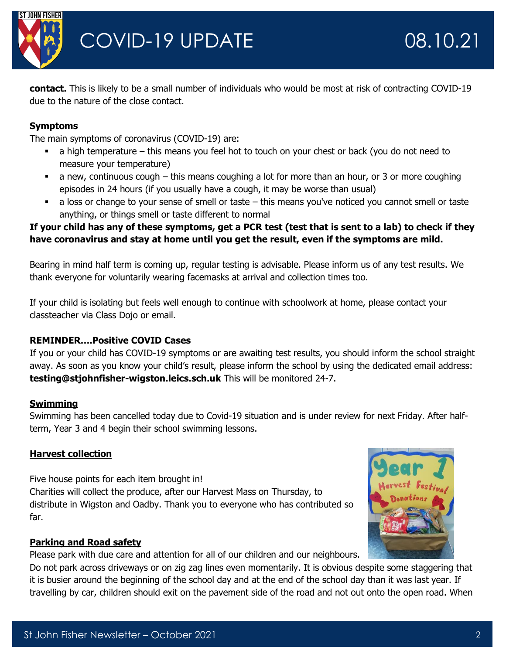

**contact.** This is likely to be a small number of individuals who would be most at risk of contracting COVID-19 due to the nature of the close contact.

## **Symptoms**

The main symptoms of coronavirus (COVID-19) are:

- a high temperature this means you feel hot to touch on your chest or back (you do not need to measure your temperature)
- a new, continuous cough this means coughing a lot for more than an hour, or 3 or more coughing episodes in 24 hours (if you usually have a cough, it may be worse than usual)
- a loss or change to your sense of smell or taste this means you've noticed you cannot smell or taste anything, or things smell or taste different to normal

# **If your child has any of these symptoms, get a PCR test (test that is sent to a lab) to check if they have coronavirus and stay at home until you get the result, even if the symptoms are mild.**

Bearing in mind half term is coming up, regular testing is advisable. Please inform us of any test results. We thank everyone for voluntarily wearing facemasks at arrival and collection times too.

If your child is isolating but feels well enough to continue with schoolwork at home, please contact your classteacher via Class Dojo or email.

# **REMINDER….Positive COVID Cases**

If you or your child has COVID-19 symptoms or are awaiting test results, you should inform the school straight away. As soon as you know your child's result, please inform the school by using the dedicated email address: **testing@stjohnfisher-wigston.leics.sch.uk** This will be monitored 24-7.

# **Swimming**

Swimming has been cancelled today due to Covid-19 situation and is under review for next Friday. After halfterm, Year 3 and 4 begin their school swimming lessons.

# **Harvest collection**

Five house points for each item brought in! Charities will collect the produce, after our Harvest Mass on Thursday, to distribute in Wigston and Oadby. Thank you to everyone who has contributed so far.



# **Parking and Road safety**

Please park with due care and attention for all of our children and our neighbours.

Do not park across driveways or on zig zag lines even momentarily. It is obvious despite some staggering that it is busier around the beginning of the school day and at the end of the school day than it was last year. If travelling by car, children should exit on the pavement side of the road and not out onto the open road. When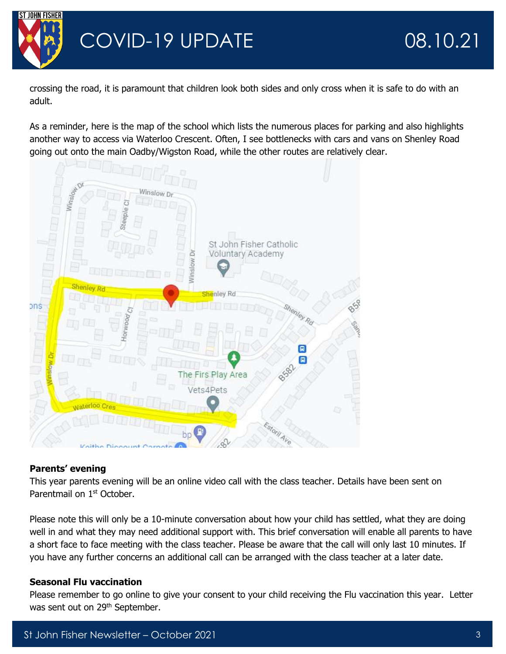

crossing the road, it is paramount that children look both sides and only cross when it is safe to do with an adult.

As a reminder, here is the map of the school which lists the numerous places for parking and also highlights another way to access via Waterloo Crescent. Often, I see bottlenecks with cars and vans on Shenley Road going out onto the main Oadby/Wigston Road, while the other routes are relatively clear.



# **Parents' evening**

This year parents evening will be an online video call with the class teacher. Details have been sent on Parentmail on 1<sup>st</sup> October.

Please note this will only be a 10-minute conversation about how your child has settled, what they are doing well in and what they may need additional support with. This brief conversation will enable all parents to have a short face to face meeting with the class teacher. Please be aware that the call will only last 10 minutes. If you have any further concerns an additional call can be arranged with the class teacher at a later date.

# **Seasonal Flu vaccination**

Please remember to go online to give your consent to your child receiving the Flu vaccination this year. Letter was sent out on 29<sup>th</sup> September.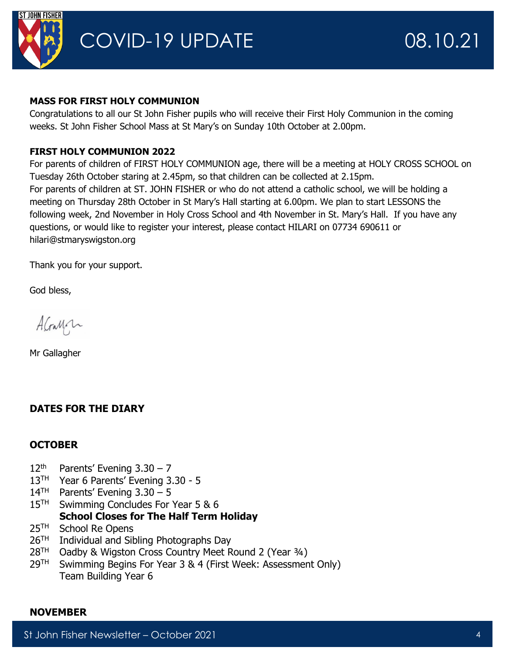

#### **MASS FOR FIRST HOLY COMMUNION**

Congratulations to all our St John Fisher pupils who will receive their First Holy Communion in the coming weeks. St John Fisher School Mass at St Mary's on Sunday 10th October at 2.00pm.

## **FIRST HOLY COMMUNION 2022**

For parents of children of FIRST HOLY COMMUNION age, there will be a meeting at HOLY CROSS SCHOOL on Tuesday 26th October staring at 2.45pm, so that children can be collected at 2.15pm. For parents of children at ST. JOHN FISHER or who do not attend a catholic school, we will be holding a meeting on Thursday 28th October in St Mary's Hall starting at 6.00pm. We plan to start LESSONS the following week, 2nd November in Holy Cross School and 4th November in St. Mary's Hall. If you have any questions, or would like to register your interest, please contact HILARI on 07734 690611 or hilari@stmaryswigston.org

Thank you for your support.

God bless,

AGaMon

Mr Gallagher

# **DATES FOR THE DIARY**

### **OCTOBER**

- $12<sup>th</sup>$  Parents' Evening 3.30 7
- 13<sup>TH</sup> Year 6 Parents' Evening 3.30 5
- $14<sup>TH</sup>$  Parents' Evening 3.30 5
- 15<sup>TH</sup> Swimming Concludes For Year 5 & 6

# **School Closes for The Half Term Holiday**

- 25<sup>TH</sup> School Re Opens
- $26<sup>TH</sup>$  Individual and Sibling Photographs Day
- 28<sup>TH</sup> Oadby & Wigston Cross Country Meet Round 2 (Year 3/4)
- 29TH Swimming Begins For Year 3 & 4 (First Week: Assessment Only) Team Building Year 6

### **NOVEMBER**